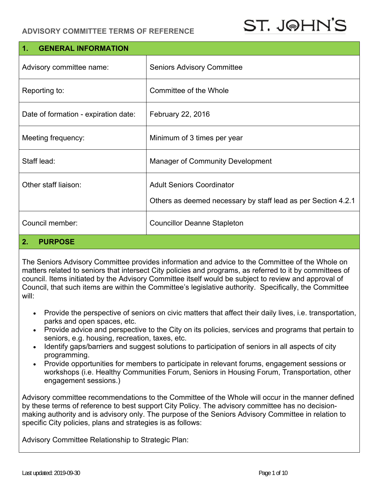## **ADVISORY COMMITTEE TERMS OF REFERENCE**

| 1.<br><b>GENERAL INFORMATION</b>     |                                                               |  |
|--------------------------------------|---------------------------------------------------------------|--|
| Advisory committee name:             | <b>Seniors Advisory Committee</b>                             |  |
| Reporting to:                        | Committee of the Whole                                        |  |
| Date of formation - expiration date: | February 22, 2016                                             |  |
| Meeting frequency:                   | Minimum of 3 times per year                                   |  |
| Staff lead:                          | <b>Manager of Community Development</b>                       |  |
| Other staff liaison:                 | <b>Adult Seniors Coordinator</b>                              |  |
|                                      | Others as deemed necessary by staff lead as per Section 4.2.1 |  |
| Council member:                      | <b>Councillor Deanne Stapleton</b>                            |  |

### **2. PURPOSE**

The Seniors Advisory Committee provides information and advice to the Committee of the Whole on matters related to seniors that intersect City policies and programs, as referred to it by committees of council. Items initiated by the Advisory Committee itself would be subject to review and approval of Council, that such items are within the Committee's legislative authority. Specifically, the Committee will:

- Provide the perspective of seniors on civic matters that affect their daily lives, i.e. transportation, parks and open spaces, etc.
- Provide advice and perspective to the City on its policies, services and programs that pertain to seniors, e.g. housing, recreation, taxes, etc.
- Identify gaps/barriers and suggest solutions to participation of seniors in all aspects of city programming.
- Provide opportunities for members to participate in relevant forums, engagement sessions or workshops (i.e. Healthy Communities Forum, Seniors in Housing Forum, Transportation, other engagement sessions.)

Advisory committee recommendations to the Committee of the Whole will occur in the manner defined by these terms of reference to best support City Policy. The advisory committee has no decisionmaking authority and is advisory only. The purpose of the Seniors Advisory Committee in relation to specific City policies, plans and strategies is as follows:

Advisory Committee Relationship to Strategic Plan: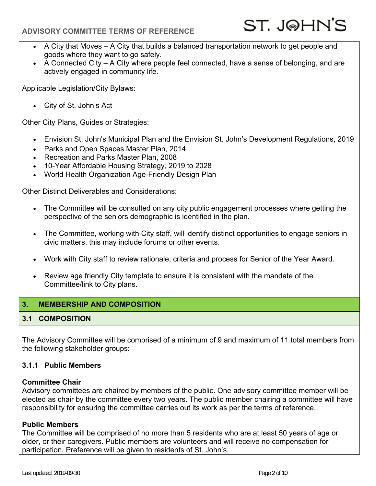### **ADVISORY COMMITTEE TERMS OF REFERENCE**

- A City that Moves A City that builds a balanced transportation network to get people and goods where they want to go safely.
- A Connected City A City where people feel connected, have a sense of belonging, and are actively engaged in community life.

Applicable Legislation/City Bylaws:

City of St. John's Act

Other City Plans, Guides or Strategies:

- Envision St. John's Municipal Plan and the Envision St. John's Development Regulations, 2019
- Parks and Open Spaces Master Plan, 2014
- Recreation and Parks Master Plan, 2008
- 10-Year Affordable Housing Strategy, 2019 to 2028
- World Health Organization Age-Friendly Design Plan

Other Distinct Deliverables and Considerations:

- The Committee will be consulted on any city public engagement processes where getting the perspective of the seniors demographic is identified in the plan.
- The Committee, working with City staff, will identify distinct opportunities to engage seniors in civic matters, this may include forums or other events.
- Work with City staff to review rationale, criteria and process for Senior of the Year Award.
- Review age friendly City template to ensure it is consistent with the mandate of the Committee/link to City plans.

### **3. MEMBERSHIP AND COMPOSITION**

### **3.1 COMPOSITION**

The Advisory Committee will be comprised of a minimum of 9 and maximum of 11 total members from the following stakeholder groups:

### **3.1.1 Public Members**

### **Committee Chair**

Advisory committees are chaired by members of the public. One advisory committee member will be elected as chair by the committee every two years. The public member chairing a committee will have responsibility for ensuring the committee carries out its work as per the terms of reference.

### **Public Members**

The Committee will be comprised of no more than 5 residents who are at least 50 years of age or older, or their caregivers. Public members are volunteers and will receive no compensation for participation. Preference will be given to residents of St. John's.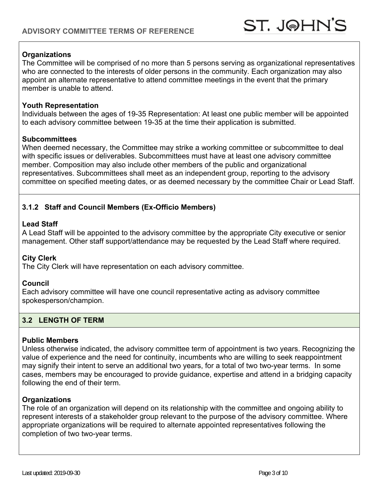### **Organizations**

The Committee will be comprised of no more than 5 persons serving as organizational representatives who are connected to the interests of older persons in the community. Each organization may also appoint an alternate representative to attend committee meetings in the event that the primary member is unable to attend.

#### **Youth Representation**

Individuals between the ages of 19-35 Representation: At least one public member will be appointed to each advisory committee between 19-35 at the time their application is submitted.

#### **Subcommittees**

When deemed necessary, the Committee may strike a working committee or subcommittee to deal with specific issues or deliverables. Subcommittees must have at least one advisory committee member. Composition may also include other members of the public and organizational representatives. Subcommittees shall meet as an independent group, reporting to the advisory committee on specified meeting dates, or as deemed necessary by the committee Chair or Lead Staff.

### **3.1.2 Staff and Council Members (Ex-Officio Members)**

#### **Lead Staff**

A Lead Staff will be appointed to the advisory committee by the appropriate City executive or senior management. Other staff support/attendance may be requested by the Lead Staff where required.

### **City Clerk**

The City Clerk will have representation on each advisory committee.

#### **Council**

Each advisory committee will have one council representative acting as advisory committee spokesperson/champion.

### **3.2 LENGTH OF TERM**

#### **Public Members**

Unless otherwise indicated, the advisory committee term of appointment is two years. Recognizing the value of experience and the need for continuity, incumbents who are willing to seek reappointment may signify their intent to serve an additional two years, for a total of two two-year terms. In some cases, members may be encouraged to provide guidance, expertise and attend in a bridging capacity following the end of their term.

### **Organizations**

The role of an organization will depend on its relationship with the committee and ongoing ability to represent interests of a stakeholder group relevant to the purpose of the advisory committee. Where appropriate organizations will be required to alternate appointed representatives following the completion of two two-year terms.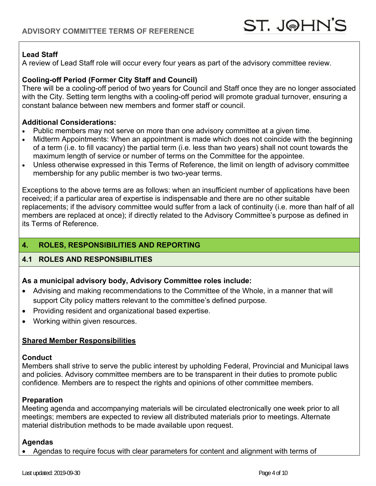### **Lead Staff**

A review of Lead Staff role will occur every four years as part of the advisory committee review.

### **Cooling-off Period (Former City Staff and Council)**

There will be a cooling-off period of two years for Council and Staff once they are no longer associated with the City. Setting term lengths with a cooling-off period will promote gradual turnover, ensuring a constant balance between new members and former staff or council.

#### **Additional Considerations:**

- Public members may not serve on more than one advisory committee at a given time.
- Midterm Appointments: When an appointment is made which does not coincide with the beginning of a term (i.e. to fill vacancy) the partial term (i.e. less than two years) shall not count towards the maximum length of service or number of terms on the Committee for the appointee.
- Unless otherwise expressed in this Terms of Reference, the limit on length of advisory committee membership for any public member is two two-year terms.

Exceptions to the above terms are as follows: when an insufficient number of applications have been received; if a particular area of expertise is indispensable and there are no other suitable replacements; if the advisory committee would suffer from a lack of continuity (i.e. more than half of all members are replaced at once); if directly related to the Advisory Committee's purpose as defined in its Terms of Reference.

## **4. ROLES, RESPONSIBILITIES AND REPORTING**

### **4.1 ROLES AND RESPONSIBILITIES**

### **As a municipal advisory body, Advisory Committee roles include:**

- Advising and making recommendations to the Committee of the Whole, in a manner that will support City policy matters relevant to the committee's defined purpose.
- Providing resident and organizational based expertise.
- Working within given resources.

### **Shared Member Responsibilities**

### **Conduct**

Members shall strive to serve the public interest by upholding Federal, Provincial and Municipal laws and policies. Advisory committee members are to be transparent in their duties to promote public confidence. Members are to respect the rights and opinions of other committee members.

### **Preparation**

Meeting agenda and accompanying materials will be circulated electronically one week prior to all meetings; members are expected to review all distributed materials prior to meetings. Alternate material distribution methods to be made available upon request.

### **Agendas**

Agendas to require focus with clear parameters for content and alignment with terms of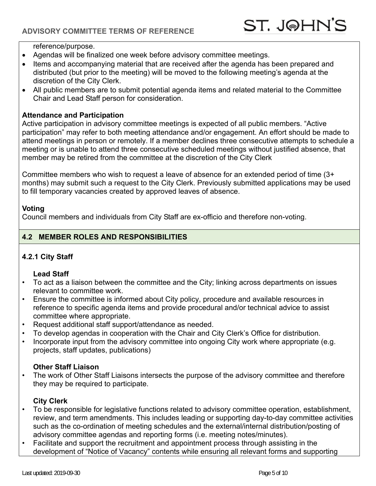reference/purpose.

- Agendas will be finalized one week before advisory committee meetings.
- Items and accompanying material that are received after the agenda has been prepared and distributed (but prior to the meeting) will be moved to the following meeting's agenda at the discretion of the City Clerk.
- All public members are to submit potential agenda items and related material to the Committee Chair and Lead Staff person for consideration.

#### **Attendance and Participation**

Active participation in advisory committee meetings is expected of all public members. "Active participation" may refer to both meeting attendance and/or engagement. An effort should be made to attend meetings in person or remotely. If a member declines three consecutive attempts to schedule a meeting or is unable to attend three consecutive scheduled meetings without justified absence, that member may be retired from the committee at the discretion of the City Clerk

Committee members who wish to request a leave of absence for an extended period of time (3+ months) may submit such a request to the City Clerk. Previously submitted applications may be used to fill temporary vacancies created by approved leaves of absence.

### **Voting**

Council members and individuals from City Staff are ex-officio and therefore non-voting.

### **4.2 MEMBER ROLES AND RESPONSIBILITIES**

## **4.2.1 City Staff**

#### **Lead Staff**

- To act as a liaison between the committee and the City; linking across departments on issues relevant to committee work.
- Ensure the committee is informed about City policy, procedure and available resources in reference to specific agenda items and provide procedural and/or technical advice to assist committee where appropriate.
- Request additional staff support/attendance as needed.
- To develop agendas in cooperation with the Chair and City Clerk's Office for distribution.
- Incorporate input from the advisory committee into ongoing City work where appropriate (e.g. projects, staff updates, publications)

### **Other Staff Liaison**

• The work of Other Staff Liaisons intersects the purpose of the advisory committee and therefore they may be required to participate.

### **City Clerk**

- To be responsible for legislative functions related to advisory committee operation, establishment, review, and term amendments. This includes leading or supporting day-to-day committee activities such as the co-ordination of meeting schedules and the external/internal distribution/posting of advisory committee agendas and reporting forms (i.e. meeting notes/minutes).
- Facilitate and support the recruitment and appointment process through assisting in the development of "Notice of Vacancy" contents while ensuring all relevant forms and supporting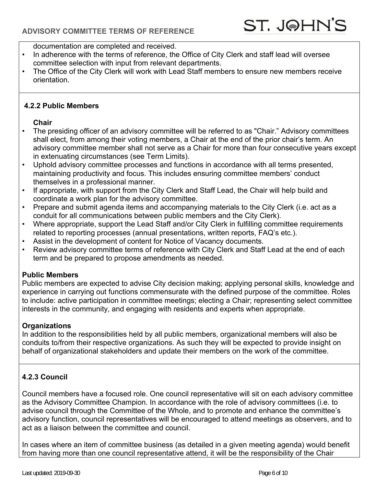documentation are completed and received.

- In adherence with the terms of reference, the Office of City Clerk and staff lead will oversee committee selection with input from relevant departments.
- The Office of the City Clerk will work with Lead Staff members to ensure new members receive orientation.

### **4.2.2 Public Members**

### **Chair**

- The presiding officer of an advisory committee will be referred to as "Chair." Advisory committees shall elect, from among their voting members, a Chair at the end of the prior chair's term. An advisory committee member shall not serve as a Chair for more than four consecutive years except in extenuating circumstances (see Term Limits).
- Uphold advisory committee processes and functions in accordance with all terms presented, maintaining productivity and focus. This includes ensuring committee members' conduct themselves in a professional manner.
- If appropriate, with support from the City Clerk and Staff Lead, the Chair will help build and coordinate a work plan for the advisory committee.
- Prepare and submit agenda items and accompanying materials to the City Clerk (i.e. act as a conduit for all communications between public members and the City Clerk).
- Where appropriate, support the Lead Staff and/or City Clerk in fulfilling committee requirements related to reporting processes (annual presentations, written reports, FAQ's etc.).
- Assist in the development of content for Notice of Vacancy documents.
- Review advisory committee terms of reference with City Clerk and Staff Lead at the end of each term and be prepared to propose amendments as needed.

## **Public Members**

Public members are expected to advise City decision making; applying personal skills, knowledge and experience in carrying out functions commensurate with the defined purpose of the committee. Roles to include: active participation in committee meetings; electing a Chair; representing select committee interests in the community, and engaging with residents and experts when appropriate.

### **Organizations**

In addition to the responsibilities held by all public members, organizational members will also be conduits to/from their respective organizations. As such they will be expected to provide insight on behalf of organizational stakeholders and update their members on the work of the committee.

## **4.2.3 Council**

Council members have a focused role. One council representative will sit on each advisory committee as the Advisory Committee Champion. In accordance with the role of advisory committees (i.e. to advise council through the Committee of the Whole, and to promote and enhance the committee's advisory function, council representatives will be encouraged to attend meetings as observers, and to act as a liaison between the committee and council.

In cases where an item of committee business (as detailed in a given meeting agenda) would benefit from having more than one council representative attend, it will be the responsibility of the Chair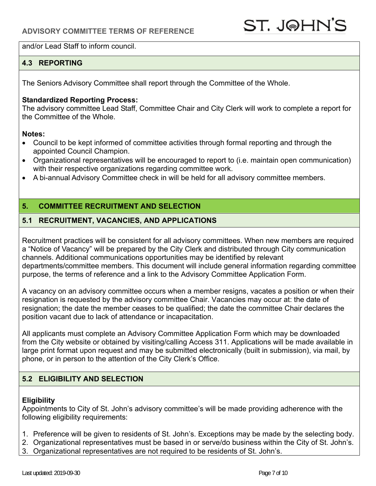and/or Lead Staff to inform council.

## **4.3 REPORTING**

The Seniors Advisory Committee shall report through the Committee of the Whole.

#### **Standardized Reporting Process:**

The advisory committee Lead Staff, Committee Chair and City Clerk will work to complete a report for the Committee of the Whole.

#### **Notes:**

- Council to be kept informed of committee activities through formal reporting and through the appointed Council Champion.
- Organizational representatives will be encouraged to report to (i.e. maintain open communication) with their respective organizations regarding committee work.
- A bi-annual Advisory Committee check in will be held for all advisory committee members.

### **5. COMMITTEE RECRUITMENT AND SELECTION**

### **5.1 RECRUITMENT, VACANCIES, AND APPLICATIONS**

Recruitment practices will be consistent for all advisory committees. When new members are required a "Notice of Vacancy" will be prepared by the City Clerk and distributed through City communication channels. Additional communications opportunities may be identified by relevant departments/committee members. This document will include general information regarding committee purpose, the terms of reference and a link to the Advisory Committee Application Form.

A vacancy on an advisory committee occurs when a member resigns, vacates a position or when their resignation is requested by the advisory committee Chair. Vacancies may occur at: the date of resignation; the date the member ceases to be qualified; the date the committee Chair declares the position vacant due to lack of attendance or incapacitation.

All applicants must complete an Advisory Committee Application Form which may be downloaded from the City website or obtained by visiting/calling Access 311. Applications will be made available in large print format upon request and may be submitted electronically (built in submission), via mail, by phone, or in person to the attention of the City Clerk's Office.

## **5.2 ELIGIBILITY AND SELECTION**

### **Eligibility**

Appointments to City of St. John's advisory committee's will be made providing adherence with the following eligibility requirements:

- 1. Preference will be given to residents of St. John's. Exceptions may be made by the selecting body.
- 2. Organizational representatives must be based in or serve/do business within the City of St. John's.
- 3. Organizational representatives are not required to be residents of St. John's.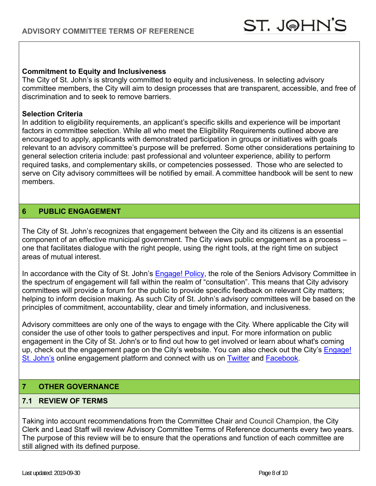#### **Commitment to Equity and Inclusiveness**

The City of St. John's is strongly committed to equity and inclusiveness. In selecting advisory committee members, the City will aim to design processes that are transparent, accessible, and free of discrimination and to seek to remove barriers.

#### **Selection Criteria**

In addition to eligibility requirements, an applicant's specific skills and experience will be important factors in committee selection. While all who meet the Eligibility Requirements outlined above are encouraged to apply, applicants with demonstrated participation in groups or initiatives with goals relevant to an advisory committee's purpose will be preferred. Some other considerations pertaining to general selection criteria include: past professional and volunteer experience, ability to perform required tasks, and complementary skills, or competencies possessed. Those who are selected to serve on City advisory committees will be notified by email. A committee handbook will be sent to new members.

#### **6 PUBLIC ENGAGEMENT**

The City of St. John's recognizes that engagement between the City and its citizens is an essential component of an effective municipal government. The City views public engagement as a process – one that facilitates dialogue with the right people, using the right tools, at the right time on subject areas of mutual interest.

In accordance with the City of St. John's Engage! Policy, the role of the Seniors Advisory Committee in the spectrum of engagement will fall within the realm of "consultation". This means that City advisory committees will provide a forum for the public to provide specific feedback on relevant City matters; helping to inform decision making. As such City of St. John's advisory committees will be based on the principles of commitment, accountability, clear and timely information, and inclusiveness.

Advisory committees are only one of the ways to engage with the City. Where applicable the City will consider the use of other tools to gather perspectives and input. For more information on public engagement in the City of St. John's or to find out how to get involved or learn about what's coming up, check out the engagement page on the City's website. You can also check out the City's Engage! St. John's online engagement platform and connect with us on Twitter and Facebook.

### **7 OTHER GOVERNANCE**

### **7.1 REVIEW OF TERMS**

Taking into account recommendations from the Committee Chair and Council Champion, the City Clerk and Lead Staff will review Advisory Committee Terms of Reference documents every two years. The purpose of this review will be to ensure that the operations and function of each committee are still aligned with its defined purpose.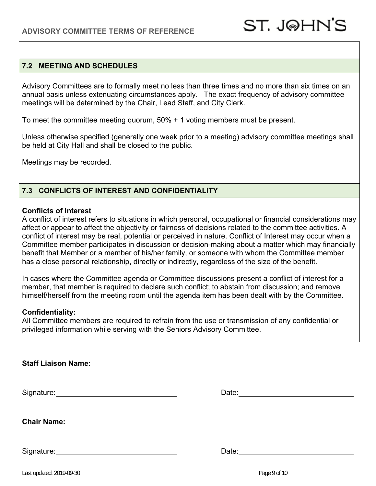### **7.2 MEETING AND SCHEDULES**

Advisory Committees are to formally meet no less than three times and no more than six times on an annual basis unless extenuating circumstances apply. The exact frequency of advisory committee meetings will be determined by the Chair, Lead Staff, and City Clerk.

To meet the committee meeting quorum, 50% + 1 voting members must be present.

Unless otherwise specified (generally one week prior to a meeting) advisory committee meetings shall be held at City Hall and shall be closed to the public.

Meetings may be recorded.

### **7.3 CONFLICTS OF INTEREST AND CONFIDENTIALITY**

#### **Conflicts of Interest**

A conflict of interest refers to situations in which personal, occupational or financial considerations may affect or appear to affect the objectivity or fairness of decisions related to the committee activities. A conflict of interest may be real, potential or perceived in nature. Conflict of Interest may occur when a Committee member participates in discussion or decision-making about a matter which may financially benefit that Member or a member of his/her family, or someone with whom the Committee member has a close personal relationship, directly or indirectly, regardless of the size of the benefit.

In cases where the Committee agenda or Committee discussions present a conflict of interest for a member, that member is required to declare such conflict; to abstain from discussion; and remove himself/herself from the meeting room until the agenda item has been dealt with by the Committee.

#### **Confidentiality:**

All Committee members are required to refrain from the use or transmission of any confidential or privileged information while serving with the Seniors Advisory Committee.

|  | Staff Liaison Name: |  |
|--|---------------------|--|
|--|---------------------|--|

Signature: Date: Date: Date: Date: Date: Date: Date: Date: Date: Date: Date: Date: Date: Date: Date: Date: Date: Date: Date: Date: Date: Date: Date: Date: Date: Date: Date: Date: Date: Date: Date: Date: Date: Date: Date: D

**Chair Name:** 

Signature: Date: